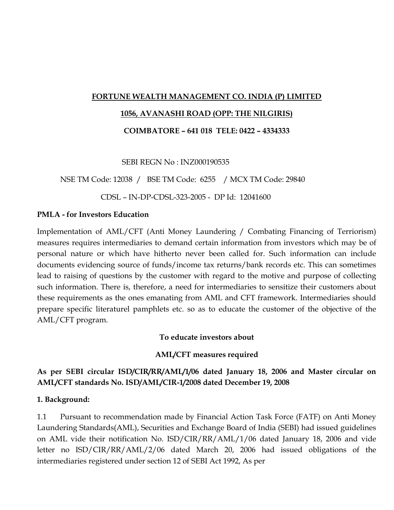#### **FORTUNE WEALTH MANAGEMENT CO. INDIA (P) LIMITED**

#### **1056, AVANASHI ROAD (OPP: THE NILGIRIS)**

**COIMBATORE – 641 018 TELE: 0422 – 4334333**

SEBI REGN No : INZ000190535

NSE TM Code: 12038 / BSE TM Code: 6255 / MCX TM Code: 29840

CDSL – IN-DP-CDSL-323-2005 - DP Id: 12041600

#### **PMLA - for Investors Education**

Implementation of AML/CFT (Anti Money Laundering / Combating Financing of Terriorism) measures requires intermediaries to demand certain information from investors which may be of personal nature or which have hitherto never been called for. Such information can include documents evidencing source of funds/income tax returns/bank records etc. This can sometimes lead to raising of questions by the customer with regard to the motive and purpose of collecting such information. There is, therefore, a need for intermediaries to sensitize their customers about these requirements as the ones emanating from AML and CFT framework. Intermediaries should prepare specific literaturel pamphlets etc. so as to educate the customer of the objective of the AML/CFT program.

**To educate investors about**

#### **AML/CFT measures required**

## **As per SEBI circular ISD/CIR/RR/AML/1/06 dated January 18, 2006 and Master circular on AML/CFT standards No. ISD/AML/CIR-1/2008 dated December 19, 2008**

#### **1. Background:**

1.1 Pursuant to recommendation made by Financial Action Task Force (FATF) on Anti Money Laundering Standards(AML), Securities and Exchange Board of India (SEBI) had issued guidelines on AML vide their notification No. ISD/CIR/RR/AML/1/06 dated January 18, 2006 and vide letter no ISD/CIR/RR/AML/2/06 dated March 20, 2006 had issued obligations of the intermediaries registered under section 12 of SEBI Act 1992, As per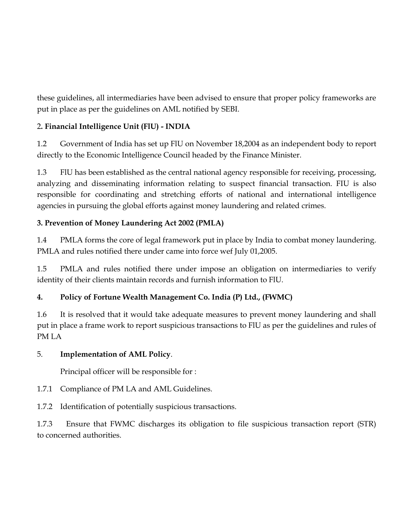these guidelines, all intermediaries have been advised to ensure that proper policy frameworks are put in place as per the guidelines on AML notified by SEBI.

# 2**. Financial Intelligence Unit (FlU) - INDIA**

1.2 Government of India has set up FlU on November 18,2004 as an independent body to report directly to the Economic Intelligence Council headed by the Finance Minister.

1.3 FlU has been established as the central national agency responsible for receiving, processing, analyzing and disseminating information relating to suspect financial transaction. FIU is also responsible for coordinating and stretching efforts of national and international intelligence agencies in pursuing the global efforts against money laundering and related crimes.

## **3. Prevention of Money Laundering Act 2002 (PMLA)**

1.4 PMLA forms the core of legal framework put in place by India to combat money laundering. PMLA and rules notified there under came into force wef July 01,2005.

1.5 PMLA and rules notified there under impose an obligation on intermediaries to verify identity of their clients maintain records and furnish information to FlU.

# **4. Policy of Fortune Wealth Management Co. India (P) Ltd., (FWMC)**

1.6 It is resolved that it would take adequate measures to prevent money laundering and shall put in place a frame work to report suspicious transactions to FlU as per the guidelines and rules of PM LA

## 5. **Implementation of AML Policy**.

Principal officer will be responsible for :

1.7.1 Compliance of PM LA and AML Guidelines.

1.7.2 Identification of potentially suspicious transactions.

1.7.3 Ensure that FWMC discharges its obligation to file suspicious transaction report (STR) to concerned authorities.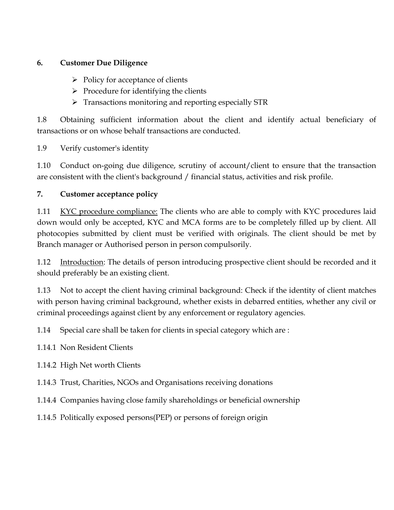### **6. Customer Due Diligence**

- $\triangleright$  Policy for acceptance of clients
- $\triangleright$  Procedure for identifying the clients
- > Transactions monitoring and reporting especially STR

1.8 Obtaining sufficient information about the client and identify actual beneficiary of transactions or on whose behalf transactions are conducted.

1.9 Verify customer's identity

1.10 Conduct on-going due diligence, scrutiny of account/client to ensure that the transaction are consistent with the client's background / financial status, activities and risk profile.

## **7. Customer acceptance policy**

1.11 KYC procedure compliance: The clients who are able to comply with KYC procedures laid down would only be accepted, KYC and MCA forms are to be completely filled up by client. All photocopies submitted by client must be verified with originals. The client should be met by Branch manager or Authorised person in person compulsorily.

1.12 Introduction: The details of person introducing prospective client should be recorded and it should preferably be an existing client.

1.13 Not to accept the client having criminal background: Check if the identity of client matches with person having criminal background, whether exists in debarred entities, whether any civil or criminal proceedings against client by any enforcement or regulatory agencies.

1.14 Special care shall be taken for clients in special category which are :

1.14.1 Non Resident Clients

1.14.2 High Net worth Clients

1.14.3 Trust, Charities, NGOs and Organisations receiving donations

1.14.4 Companies having close family shareholdings or beneficial ownership

1.14.5 Politically exposed persons(PEP) or persons of foreign origin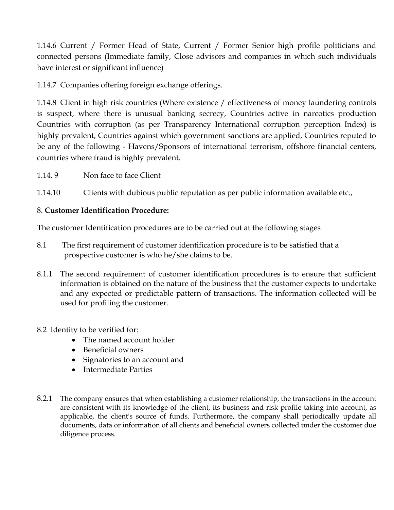1.14.6 Current / Former Head of State, Current / Former Senior high profile politicians and connected persons (Immediate family, Close advisors and companies in which such individuals have interest or significant influence)

1.14.7 Companies offering foreign exchange offerings.

1.14.8 Client in high risk countries (Where existence / effectiveness of money laundering controls is suspect, where there is unusual banking secrecy, Countries active in narcotics production Countries with corruption (as per Transparency International corruption perception Index) is highly prevalent, Countries against which government sanctions are applied, Countries reputed to be any of the following - Havens/Sponsors of international terrorism, offshore financial centers, countries where fraud is highly prevalent.

1.14. 9 Non face to face Client

1.14.10 Clients with dubious public reputation as per public information available etc.,

#### 8. **Customer Identification Procedure:**

The customer Identification procedures are to be carried out at the following stages

- 8.1 The first requirement of customer identification procedure is to be satisfied that a prospective customer is who he/she claims to be.
- 8.1.1 The second requirement of customer identification procedures is to ensure that sufficient information is obtained on the nature of the business that the customer expects to undertake and any expected or predictable pattern of transactions. The information collected will be used for profiling the customer.
- 8.2 Identity to be verified for:
	- The named account holder
	- Beneficial owners
	- Signatories to an account and
	- Intermediate Parties
- 8.2.1 The company ensures that when establishing a customer relationship, the transactions in the account are consistent with its knowledge of the client, its business and risk profile taking into account, as applicable, the client's source of funds. Furthermore, the company shall periodically update all documents, data or information of all clients and beneficial owners collected under the customer due diligence process.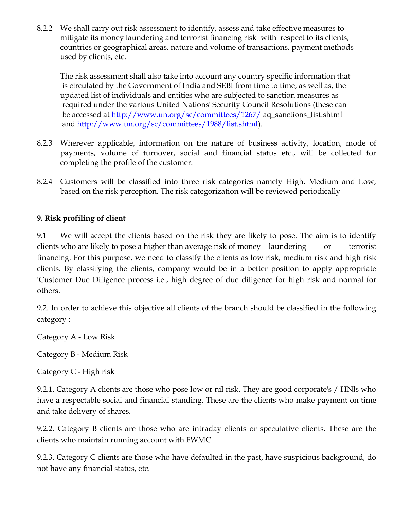8.2.2 We shall carry out risk assessment to identify, assess and take effective measures to mitigate its money laundering and terrorist financing risk with respect to its clients, countries or geographical areas, nature and volume of transactions, payment methods used by clients, etc.

The risk assessment shall also take into account any country specific information that is circulated by the Government of India and SEBI from time to time, as well as, the updated list of individuals and entities who are subjected to sanction measures as required under the various United Nations' Security Council Resolutions (these can be accessed at http://www.un.org/sc/committees/1267/ aq\_sanctions\_list.shtml and [http://www.un.org/sc/committees/1988/list.shtml\)](http://www.un.org/sc/committees/1988/list.shtml).

- 8.2.3 Wherever applicable, information on the nature of business activity, location, mode of payments, volume of turnover, social and financial status etc., will be collected for completing the profile of the customer.
- 8.2.4 Customers will be classified into three risk categories namely High, Medium and Low, based on the risk perception. The risk categorization will be reviewed periodically

## **9. Risk profiling of client**

9.1 We will accept the clients based on the risk they are likely to pose. The aim is to identify clients who are likely to pose a higher than average risk of money laundering or terrorist financing. For this purpose, we need to classify the clients as low risk, medium risk and high risk clients. By classifying the clients, company would be in a better position to apply appropriate 'Customer Due Diligence process i.e., high degree of due diligence for high risk and normal for others.

9.2. In order to achieve this objective all clients of the branch should be classified in the following category :

Category A - Low Risk

Category B - Medium Risk

Category C - High risk

9.2.1. Category A clients are those who pose low or nil risk. They are good corporate's / HNls who have a respectable social and financial standing. These are the clients who make payment on time and take delivery of shares.

9.2.2. Category B clients are those who are intraday clients or speculative clients. These are the clients who maintain running account with FWMC.

9.2.3. Category C clients are those who have defaulted in the past, have suspicious background, do not have any financial status, etc.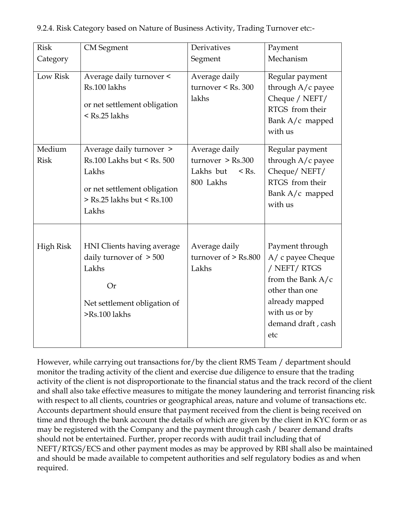| <b>Risk</b>           | <b>CM</b> Segment                                                                                                                      | Derivatives                                                             | Payment                                                                                                                                                       |
|-----------------------|----------------------------------------------------------------------------------------------------------------------------------------|-------------------------------------------------------------------------|---------------------------------------------------------------------------------------------------------------------------------------------------------------|
| Category              |                                                                                                                                        | Segment                                                                 | Mechanism                                                                                                                                                     |
| Low Risk              | Average daily turnover <<br>Rs.100 lakhs<br>or net settlement obligation<br>$<$ Rs.25 lakhs                                            | Average daily<br>turnover $\le$ Rs. 300<br>lakhs                        | Regular payment<br>through A/c payee<br>Cheque / NEFT/<br>RTGS from their<br>Bank $A/c$ mapped<br>with us                                                     |
| Medium<br><b>Risk</b> | Average daily turnover ><br>Rs.100 Lakhs but < Rs. 500<br>Lakhs<br>or net settlement obligation<br>> Rs.25 lakhs but < Rs.100<br>Lakhs | Average daily<br>turnover > Rs.300<br>Lakhs but<br>$<$ Rs.<br>800 Lakhs | Regular payment<br>through A/c payee<br>Cheque/NEFT/<br>RTGS from their<br>Bank A/c mapped<br>with us                                                         |
| High Risk             | HNI Clients having average<br>daily turnover of $> 500$<br>Lakhs<br>Or<br>Net settlement obligation of<br>>Rs.100 lakhs                | Average daily<br>turnover of $>$ Rs.800<br>Lakhs                        | Payment through<br>A/ c payee Cheque<br>/ NEFT/ RTGS<br>from the Bank $A/c$<br>other than one<br>already mapped<br>with us or by<br>demand draft, cash<br>etc |

9.2.4. Risk Category based on Nature of Business Activity, Trading Turnover etc:-

However, while carrying out transactions for/by the client RMS Team / department should monitor the trading activity of the client and exercise due diligence to ensure that the trading activity of the client is not disproportionate to the financial status and the track record of the client and shall also take effective measures to mitigate the money laundering and terrorist financing risk with respect to all clients, countries or geographical areas, nature and volume of transactions etc. Accounts department should ensure that payment received from the client is being received on time and through the bank account the details of which are given by the client in KYC form or as may be registered with the Company and the payment through cash / bearer demand drafts should not be entertained. Further, proper records with audit trail including that of NEFT/RTGS/ECS and other payment modes as may be approved by RBI shall also be maintained and should be made available to competent authorities and self regulatory bodies as and when required.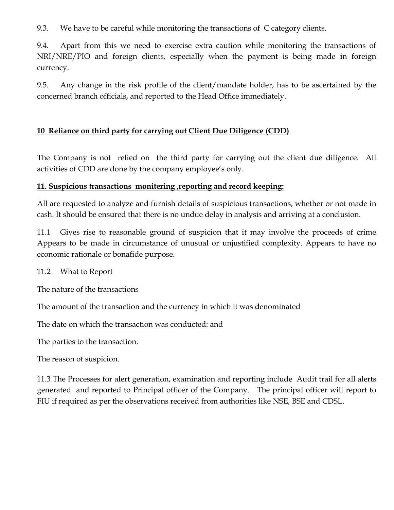9.3. We have to be careful while monitoring the transactions of C category clients.

9.4. Apart from this we need to exercise extra caution while monitoring the transactions of NRI/NRE/PIO and foreign clients, especially when the payment is being made in foreign currency.

9.5. Any change in the risk profile of the client/mandate holder, has to be ascertained by the concerned branch officials, and reported to the Head Office immediately.

## **10 Reliance on third party for carrying out Client Due Diligence (CDD)**

The Company is not relied on the third party for carrying out the client due diligence. All activities of CDD are done by the company employee's only.

#### **11. Suspicious transactions monitering ,reporting and record keeping:**

All are requested to analyze and furnish details of suspicious transactions, whether or not made in cash. It should be ensured that there is no undue delay in analysis and arriving at a conclusion.

11.1 Gives rise to reasonable ground of suspicion that it may involve the proceeds of crime Appears to be made in circumstance of unusual or unjustified complexity. Appears to have no economic rationale or bonafide purpose.

11.2 What to Report

The nature of the transactions

The amount of the transaction and the currency in which it was denominated

The date on which the transaction was conducted: and

The parties to the transaction.

The reason of suspicion.

11.3 The Processes for alert generation, examination and reporting include Audit trail for all alerts generated and reported to Principal officer of the Company. The principal officer will report to FIU if required as per the observations received from authorities like NSE, BSE and CDSL.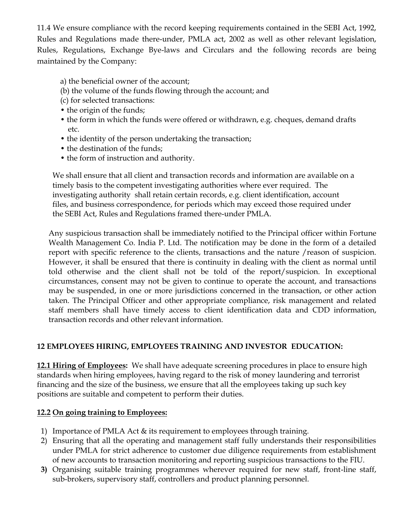11.4 We ensure compliance with the record keeping requirements contained in the SEBI Act, 1992, Rules and Regulations made there-under, PMLA act, 2002 as well as other relevant legislation, Rules, Regulations, Exchange Bye-laws and Circulars and the following records are being maintained by the Company:

- a) the beneficial owner of the account;
- (b) the volume of the funds flowing through the account; and
- (c) for selected transactions:
- the origin of the funds;
- the form in which the funds were offered or withdrawn, e.g. cheques, demand drafts etc.
- the identity of the person undertaking the transaction;
- the destination of the funds;
- the form of instruction and authority.

 We shall ensure that all client and transaction records and information are available on a timely basis to the competent investigating authorities where ever required. The investigating authority shall retain certain records, e.g. client identification, account files, and business correspondence, for periods which may exceed those required under the SEBI Act, Rules and Regulations framed there-under PMLA.

Any suspicious transaction shall be immediately notified to the Principal officer within Fortune Wealth Management Co. India P. Ltd. The notification may be done in the form of a detailed report with specific reference to the clients, transactions and the nature /reason of suspicion. However, it shall be ensured that there is continuity in dealing with the client as normal until told otherwise and the client shall not be told of the report/suspicion. In exceptional circumstances, consent may not be given to continue to operate the account, and transactions may be suspended, in one or more jurisdictions concerned in the transaction, or other action taken. The Principal Officer and other appropriate compliance, risk management and related staff members shall have timely access to client identification data and CDD information, transaction records and other relevant information.

## **12 EMPLOYEES HIRING, EMPLOYEES TRAINING AND INVESTOR EDUCATION:**

**12.1 Hiring of Employees:** We shall have adequate screening procedures in place to ensure high standards when hiring employees, having regard to the risk of money laundering and terrorist financing and the size of the business, we ensure that all the employees taking up such key positions are suitable and competent to perform their duties.

## **12.2 On going training to Employees:**

- 1) Importance of PMLA Act & its requirement to employees through training.
- 2) Ensuring that all the operating and management staff fully understands their responsibilities under PMLA for strict adherence to customer due diligence requirements from establishment of new accounts to transaction monitoring and reporting suspicious transactions to the FIU.
- **3)** Organising suitable training programmes wherever required for new staff, front-line staff, sub-brokers, supervisory staff, controllers and product planning personnel.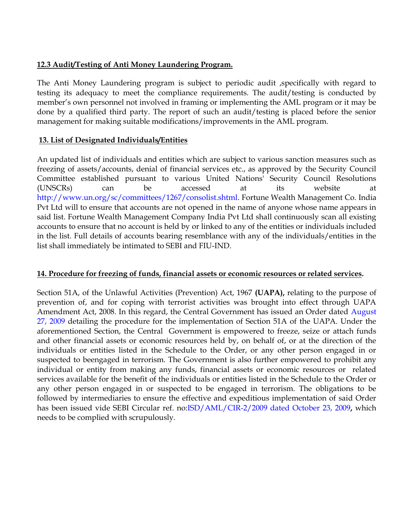#### **12.3 Audit/Testing of Anti Money Laundering Program.**

The Anti Money Laundering program is subject to periodic audit ,specifically with regard to testing its adequacy to meet the compliance requirements. The audit/testing is conducted by member's own personnel not involved in framing or implementing the AML program or it may be done by a qualified third party. The report of such an audit/testing is placed before the senior management for making suitable modifications/improvements in the AML program.

#### **13. List of Designated Individuals/Entities**

An updated list of individuals and entities which are subject to various sanction measures such as freezing of assets/accounts, denial of financial services etc., as approved by the Security Council Committee established pursuant to various United Nations' Security Council Resolutions (UNSCRs) can be accessed at its website at http://www.un.org/sc/committees/1267/consolist.shtml. Fortune Wealth Management Co. India Pvt Ltd will to ensure that accounts are not opened in the name of anyone whose name appears in said list. Fortune Wealth Management Company India Pvt Ltd shall continuously scan all existing accounts to ensure that no account is held by or linked to any of the entities or individuals included in the list. Full details of accounts bearing resemblance with any of the individuals/entities in the list shall immediately be intimated to SEBI and FIU-IND.

#### **14. Procedure for freezing of funds, financial assets or economic resources or related services.**

Section 51A, of the Unlawful Activities (Prevention) Act, 1967 **(UAPA),** relating to the purpose of prevention of, and for coping with terrorist activities was brought into effect through UAPA Amendment Act, 2008. In this regard, the Central Government has issued an Order dated August 27, 2009 detailing the procedure for the implementation of Section 51A of the UAPA. Under the aforementioned Section, the Central Government is empowered to freeze, seize or attach funds and other financial assets or economic resources held by, on behalf of, or at the direction of the individuals or entities listed in the Schedule to the Order, or any other person engaged in or suspected to beengaged in terrorism. The Government is also further empowered to prohibit any individual or entity from making any funds, financial assets or economic resources or related services available for the benefit of the individuals or entities listed in the Schedule to the Order or any other person engaged in or suspected to be engaged in terrorism. The obligations to be followed by intermediaries to ensure the effective and expeditious implementation of said Order has been issued vide SEBI Circular ref. no:ISD/AML/CIR-2/2009 dated October 23, 2009**,** which needs to be complied with scrupulously.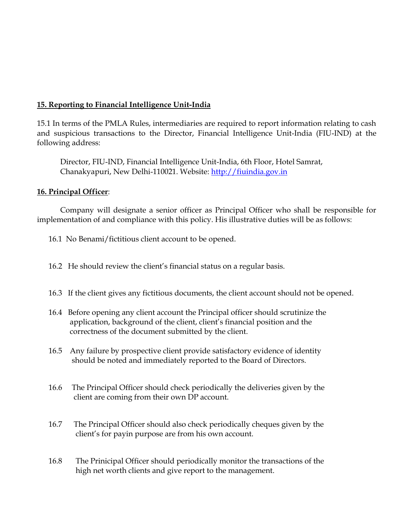## **15. Reporting to Financial Intelligence Unit-India**

15.1 In terms of the PMLA Rules, intermediaries are required to report information relating to cash and suspicious transactions to the Director, Financial Intelligence Unit-India (FIU-IND) at the following address:

Director, FIU-IND, Financial Intelligence Unit-India, 6th Floor, Hotel Samrat, Chanakyapuri, New Delhi-110021. Website: [http://fiuindia.gov.in](http://fiuindia.gov.in/)

#### **16. Principal Officer**:

Company will designate a senior officer as Principal Officer who shall be responsible for implementation of and compliance with this policy. His illustrative duties will be as follows:

16.1 No Benami/fictitious client account to be opened.

16.2 He should review the client's financial status on a regular basis.

- 16.3 If the client gives any fictitious documents, the client account should not be opened.
- 16.4 Before opening any client account the Principal officer should scrutinize the application, background of the client, client's financial position and the correctness of the document submitted by the client.
- 16.5 Any failure by prospective client provide satisfactory evidence of identity should be noted and immediately reported to the Board of Directors.
- 16.6 The Principal Officer should check periodically the deliveries given by the client are coming from their own DP account.
- 16.7 The Principal Officer should also check periodically cheques given by the client's for payin purpose are from his own account.
- 16.8 The Prinicipal Officer should periodically monitor the transactions of the high net worth clients and give report to the management.